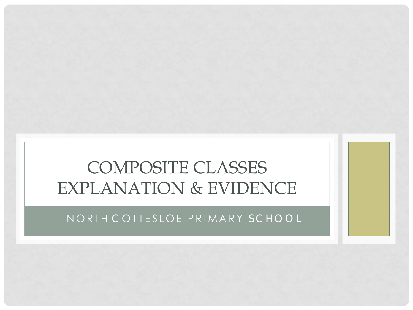#### NORTH COTTESLOE PRIMARY SCHOOL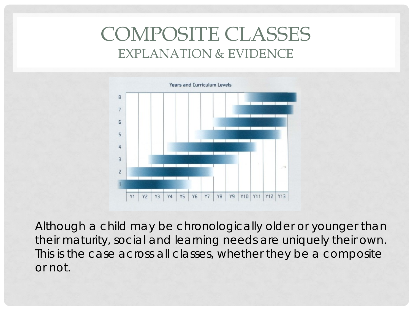

Although a child may be chronologically older or younger than their maturity, social and learning needs are uniquely their own. This is the case across all classes, whether they be a composite or not.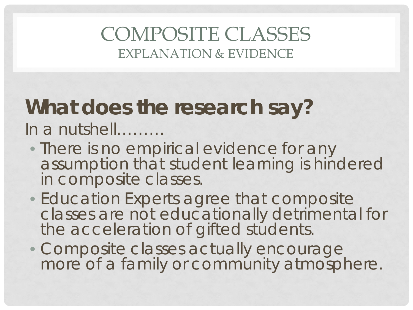# **What does the research say?**

In a nutshell………

- There is no empirical evidence for any assumption that student learning is hindered in composite classes.
- Education Experts agree that composite classes are not educationally detrimental for the acceleration of gifted students.
- Composite classes actually encourage more of a family or community atmosphere.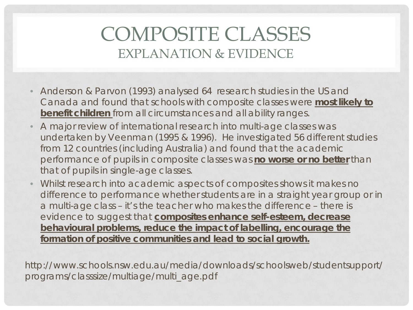- Anderson & Parvon (1993) analysed 64 research studies in the US and Canada and found that schools with composite classes were **most likely to benefit children** from all circumstances and all ability ranges.
- A major review of international research into multi-age classes was undertaken by Veenman (1995 & 1996). He investigated 56 different studies from 12 countries (including Australia) and found that the academic performance of pupils in composite classes was **no worse or no better** than that of pupils in single-age classes.
- Whilst research into academic aspects of composites shows it makes no difference to performance whether students are in a straight year group or in a multi-age class – it's the teacher who makes the difference – there is evidence to suggest that **composites enhance self-esteem, decrease behavioural problems, reduce the impact of labelling, encourage the formation of positive communities and lead to social growth.**

http://www.schools.nsw.edu.au/media/downloads/schoolsweb/studentsupport/ programs/classsize/multiage/multi\_age.pdf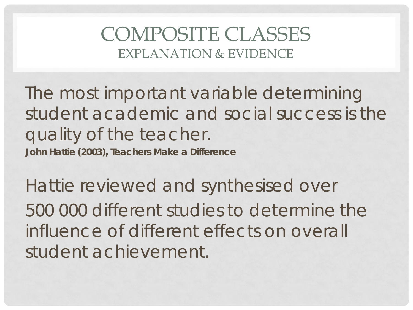The most important variable determining student academic and social success is the quality of the teacher.

**John Hattie (2003), Teachers Make a Difference**

Hattie reviewed and synthesised over 500 000 different studies to determine the influence of different effects on overall student achievement.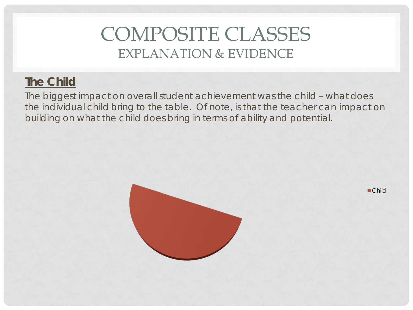### **The Child**

The biggest impact on overall student achievement was the child – what does the individual child bring to the table. Of note, is that the teacher can impact on building on what the child does bring in terms of ability and potential.

■ Child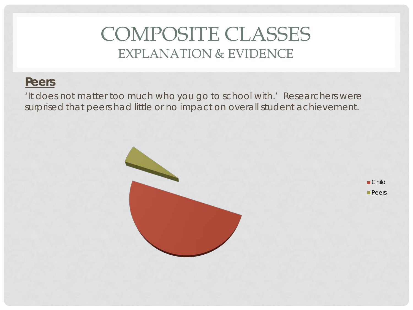#### **Peers**

'It does not matter too much who you go to school with.' Researchers were surprised that peers had little or no impact on overall student achievement.



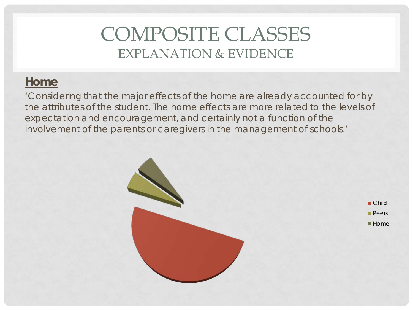### **Home**

'Considering that the major effects of the home are already accounted for by the attributes of the student. The home effects are more related to the levels of expectation and encouragement, and certainly not a function of the involvement of the parents or caregivers in the management of schools.'



■ Child **Peers**  $H$ ome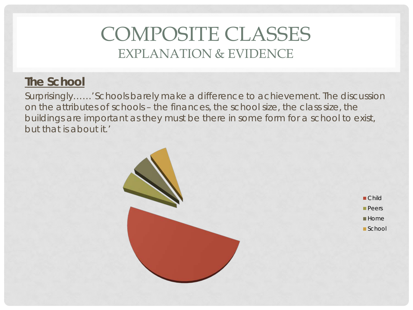### **The School**

Surprisingly……'Schools barely make a difference to achievement. The discussion on the attributes of schools – the finances, the school size, the class size, the buildings are important as they must be there in some form for a school to exist, but that is about it.'

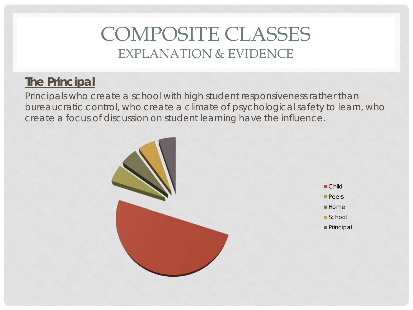### **The Principal**

Principals who create a school with high student responsiveness rather than bureaucratic control, who create a climate of psychological safety to learn, who create a focus of discussion on student learning have the influence.